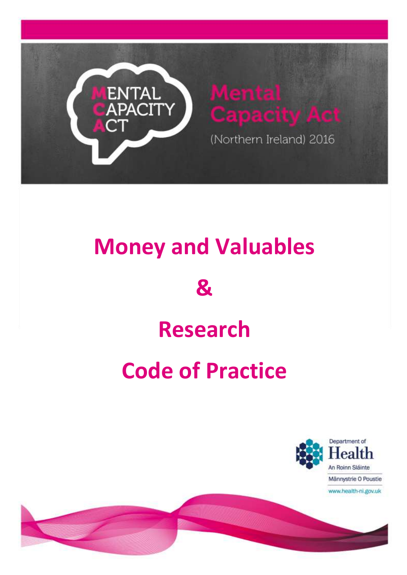

## **Money and Valuables**

## **&**

## **Research**

# **Code of Practice**



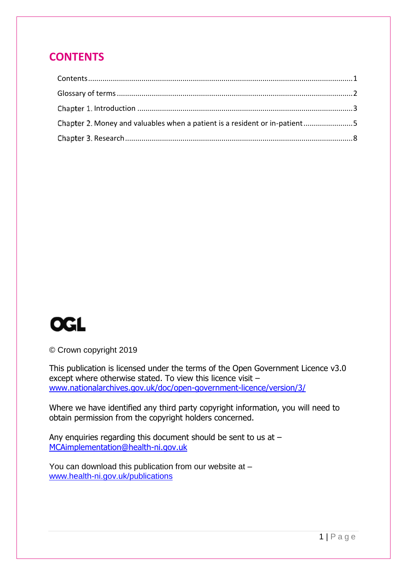### <span id="page-1-0"></span>**CONTENTS**

| Chapter 2. Money and valuables when a patient is a resident or in-patient5 |  |
|----------------------------------------------------------------------------|--|
|                                                                            |  |



© Crown copyright 2019

This publication is licensed under the terms of the Open Government Licence v3.0 except where otherwise stated. To view this licence visit – [www.nationalarchives.gov.uk/doc/open-government-licence/version/3/](http://www.nationalarchives.gov.uk/doc/open-government-licence/version/3/)

Where we have identified any third party copyright information, you will need to obtain permission from the copyright holders concerned.

Any enquiries regarding this document should be sent to us at – [MCAimplementation@health-ni.gov.uk](mailto:MCAimplementation@health-ni.gov.uk)

You can download this publication from our website at – [www.health-ni.gov.uk/publications](http://www.health-ni.gov.uk/publications)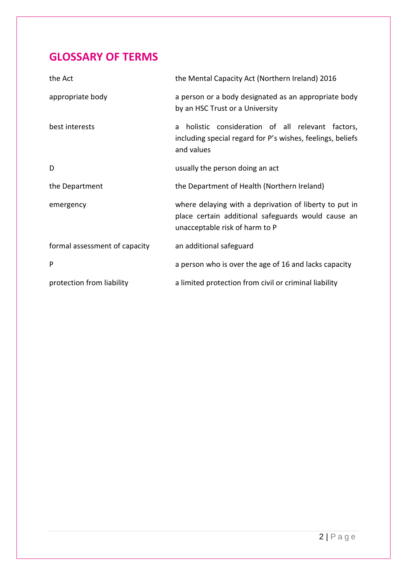### <span id="page-2-0"></span>**GLOSSARY OF TERMS**

| the Act                       | the Mental Capacity Act (Northern Ireland) 2016                                                                                                |
|-------------------------------|------------------------------------------------------------------------------------------------------------------------------------------------|
| appropriate body              | a person or a body designated as an appropriate body<br>by an HSC Trust or a University                                                        |
| best interests                | holistic consideration of all relevant factors,<br>a<br>including special regard for P's wishes, feelings, beliefs<br>and values               |
| D                             | usually the person doing an act                                                                                                                |
| the Department                | the Department of Health (Northern Ireland)                                                                                                    |
| emergency                     | where delaying with a deprivation of liberty to put in<br>place certain additional safeguards would cause an<br>unacceptable risk of harm to P |
| formal assessment of capacity | an additional safeguard                                                                                                                        |
| P                             | a person who is over the age of 16 and lacks capacity                                                                                          |
| protection from liability     | a limited protection from civil or criminal liability                                                                                          |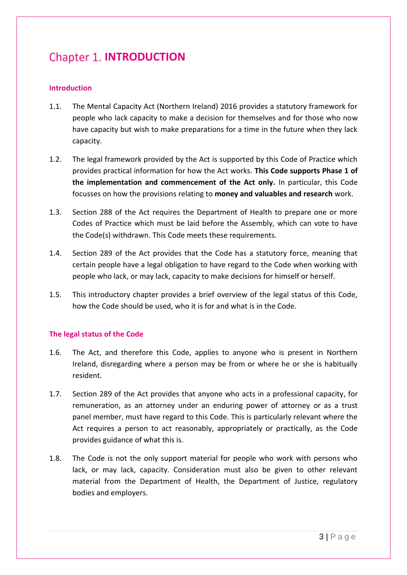## <span id="page-3-0"></span>**Chapter 1. INTRODUCTION**

#### **Introduction**

- 1.1. The Mental Capacity Act (Northern Ireland) 2016 provides a statutory framework for people who lack capacity to make a decision for themselves and for those who now have capacity but wish to make preparations for a time in the future when they lack capacity.
- 1.2. The legal framework provided by the Act is supported by this Code of Practice which provides practical information for how the Act works. **This Code supports Phase 1 of the implementation and commencement of the Act only.** In particular, this Code focusses on how the provisions relating to **money and valuables and research** work.
- 1.3. Section 288 of the Act requires the Department of Health to prepare one or more Codes of Practice which must be laid before the Assembly, which can vote to have the Code(s) withdrawn. This Code meets these requirements.
- 1.4. Section 289 of the Act provides that the Code has a statutory force, meaning that certain people have a legal obligation to have regard to the Code when working with people who lack, or may lack, capacity to make decisions for himself or herself.
- 1.5. This introductory chapter provides a brief overview of the legal status of this Code, how the Code should be used, who it is for and what is in the Code.

#### **The legal status of the Code**

- 1.6. The Act, and therefore this Code, applies to anyone who is present in Northern Ireland, disregarding where a person may be from or where he or she is habitually resident.
- 1.7. Section 289 of the Act provides that anyone who acts in a professional capacity, for remuneration, as an attorney under an enduring power of attorney or as a trust panel member, must have regard to this Code. This is particularly relevant where the Act requires a person to act reasonably, appropriately or practically, as the Code provides guidance of what this is.
- 1.8. The Code is not the only support material for people who work with persons who lack, or may lack, capacity. Consideration must also be given to other relevant material from the Department of Health, the Department of Justice, regulatory bodies and employers.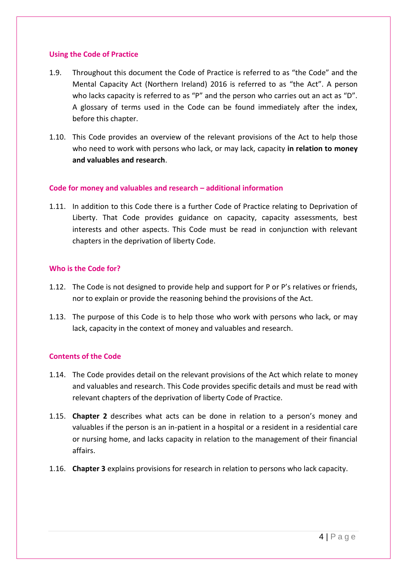#### **Using the Code of Practice**

- 1.9. Throughout this document the Code of Practice is referred to as "the Code" and the Mental Capacity Act (Northern Ireland) 2016 is referred to as "the Act". A person who lacks capacity is referred to as "P" and the person who carries out an act as "D". A glossary of terms used in the Code can be found immediately after the index, before this chapter.
- 1.10. This Code provides an overview of the relevant provisions of the Act to help those who need to work with persons who lack, or may lack, capacity **in relation to money and valuables and research**.

#### **Code for money and valuables and research – additional information**

1.11. In addition to this Code there is a further Code of Practice relating to Deprivation of Liberty. That Code provides guidance on capacity, capacity assessments, best interests and other aspects. This Code must be read in conjunction with relevant chapters in the deprivation of liberty Code.

#### **Who is the Code for?**

- 1.12. The Code is not designed to provide help and support for P or P's relatives or friends, nor to explain or provide the reasoning behind the provisions of the Act.
- 1.13. The purpose of this Code is to help those who work with persons who lack, or may lack, capacity in the context of money and valuables and research.

#### **Contents of the Code**

- 1.14. The Code provides detail on the relevant provisions of the Act which relate to money and valuables and research. This Code provides specific details and must be read with relevant chapters of the deprivation of liberty Code of Practice.
- 1.15. **Chapter 2** describes what acts can be done in relation to a person's money and valuables if the person is an in-patient in a hospital or a resident in a residential care or nursing home, and lacks capacity in relation to the management of their financial affairs.
- 1.16. **Chapter 3** explains provisions for research in relation to persons who lack capacity.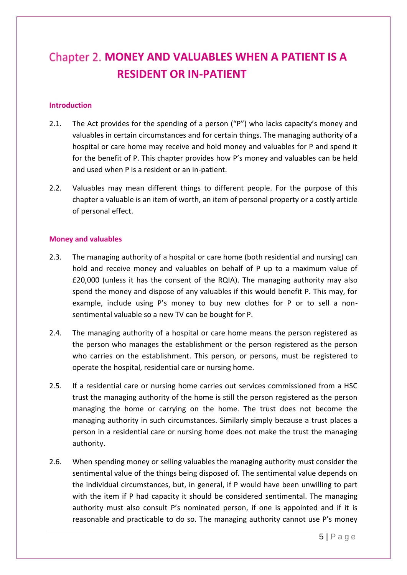## <span id="page-5-0"></span>**Chapter 2. MONEY AND VALUABLES WHEN A PATIENT IS A RESIDENT OR IN-PATIENT**

#### **Introduction**

- 2.1. The Act provides for the spending of a person ("P") who lacks capacity's money and valuables in certain circumstances and for certain things. The managing authority of a hospital or care home may receive and hold money and valuables for P and spend it for the benefit of P. This chapter provides how P's money and valuables can be held and used when P is a resident or an in-patient.
- 2.2. Valuables may mean different things to different people. For the purpose of this chapter a valuable is an item of worth, an item of personal property or a costly article of personal effect.

#### **Money and valuables**

- 2.3. The managing authority of a hospital or care home (both residential and nursing) can hold and receive money and valuables on behalf of P up to a maximum value of £20,000 (unless it has the consent of the RQIA). The managing authority may also spend the money and dispose of any valuables if this would benefit P. This may, for example, include using P's money to buy new clothes for P or to sell a nonsentimental valuable so a new TV can be bought for P.
- 2.4. The managing authority of a hospital or care home means the person registered as the person who manages the establishment or the person registered as the person who carries on the establishment. This person, or persons, must be registered to operate the hospital, residential care or nursing home.
- 2.5. If a residential care or nursing home carries out services commissioned from a HSC trust the managing authority of the home is still the person registered as the person managing the home or carrying on the home. The trust does not become the managing authority in such circumstances. Similarly simply because a trust places a person in a residential care or nursing home does not make the trust the managing authority.
- 2.6. When spending money or selling valuables the managing authority must consider the sentimental value of the things being disposed of. The sentimental value depends on the individual circumstances, but, in general, if P would have been unwilling to part with the item if P had capacity it should be considered sentimental. The managing authority must also consult P's nominated person, if one is appointed and if it is reasonable and practicable to do so. The managing authority cannot use P's money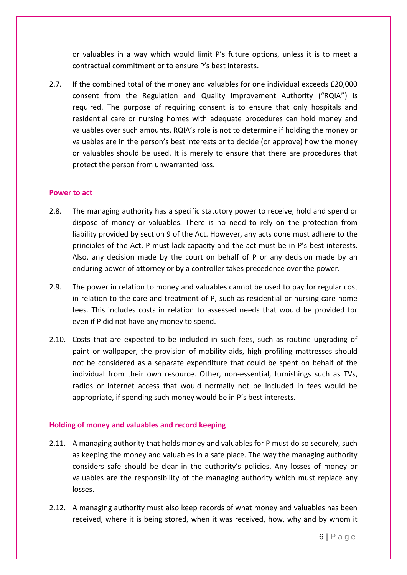or valuables in a way which would limit P's future options, unless it is to meet a contractual commitment or to ensure P's best interests.

2.7. If the combined total of the money and valuables for one individual exceeds £20,000 consent from the Regulation and Quality Improvement Authority ("RQIA") is required. The purpose of requiring consent is to ensure that only hospitals and residential care or nursing homes with adequate procedures can hold money and valuables over such amounts. RQIA's role is not to determine if holding the money or valuables are in the person's best interests or to decide (or approve) how the money or valuables should be used. It is merely to ensure that there are procedures that protect the person from unwarranted loss.

#### **Power to act**

- 2.8. The managing authority has a specific statutory power to receive, hold and spend or dispose of money or valuables. There is no need to rely on the protection from liability provided by section 9 of the Act. However, any acts done must adhere to the principles of the Act, P must lack capacity and the act must be in P's best interests. Also, any decision made by the court on behalf of P or any decision made by an enduring power of attorney or by a controller takes precedence over the power.
- 2.9. The power in relation to money and valuables cannot be used to pay for regular cost in relation to the care and treatment of P, such as residential or nursing care home fees. This includes costs in relation to assessed needs that would be provided for even if P did not have any money to spend.
- 2.10. Costs that are expected to be included in such fees, such as routine upgrading of paint or wallpaper, the provision of mobility aids, high profiling mattresses should not be considered as a separate expenditure that could be spent on behalf of the individual from their own resource. Other, non-essential, furnishings such as TVs, radios or internet access that would normally not be included in fees would be appropriate, if spending such money would be in P's best interests.

#### **Holding of money and valuables and record keeping**

- 2.11. A managing authority that holds money and valuables for P must do so securely, such as keeping the money and valuables in a safe place. The way the managing authority considers safe should be clear in the authority's policies. Any losses of money or valuables are the responsibility of the managing authority which must replace any losses.
- 2.12. A managing authority must also keep records of what money and valuables has been received, where it is being stored, when it was received, how, why and by whom it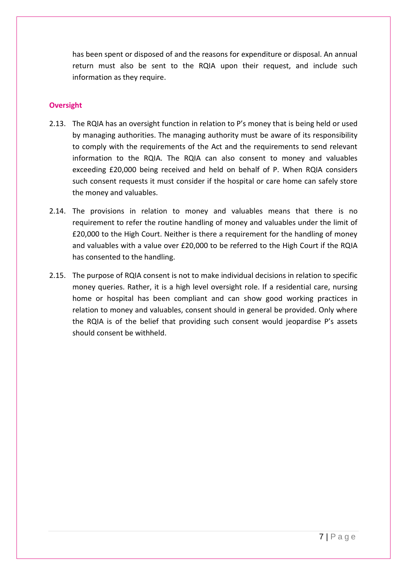has been spent or disposed of and the reasons for expenditure or disposal. An annual return must also be sent to the RQIA upon their request, and include such information as they require.

#### **Oversight**

- 2.13. The RQIA has an oversight function in relation to P's money that is being held or used by managing authorities. The managing authority must be aware of its responsibility to comply with the requirements of the Act and the requirements to send relevant information to the RQIA. The RQIA can also consent to money and valuables exceeding £20,000 being received and held on behalf of P. When RQIA considers such consent requests it must consider if the hospital or care home can safely store the money and valuables.
- 2.14. The provisions in relation to money and valuables means that there is no requirement to refer the routine handling of money and valuables under the limit of £20,000 to the High Court. Neither is there a requirement for the handling of money and valuables with a value over £20,000 to be referred to the High Court if the RQIA has consented to the handling.
- 2.15. The purpose of RQIA consent is not to make individual decisions in relation to specific money queries. Rather, it is a high level oversight role. If a residential care, nursing home or hospital has been compliant and can show good working practices in relation to money and valuables, consent should in general be provided. Only where the RQIA is of the belief that providing such consent would jeopardise P's assets should consent be withheld.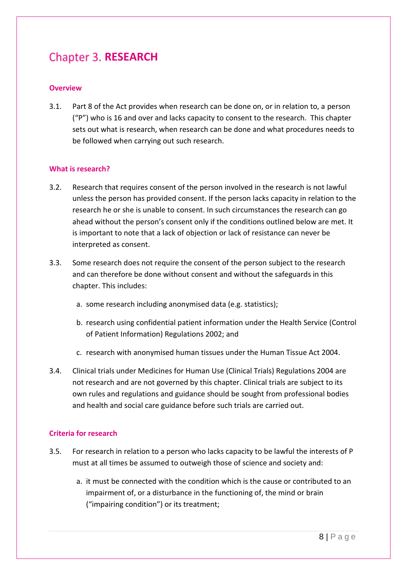## <span id="page-8-0"></span>**Chapter 3. RESEARCH**

#### **Overview**

3.1. Part 8 of the Act provides when research can be done on, or in relation to, a person ("P") who is 16 and over and lacks capacity to consent to the research. This chapter sets out what is research, when research can be done and what procedures needs to be followed when carrying out such research.

#### **What is research?**

- 3.2. Research that requires consent of the person involved in the research is not lawful unless the person has provided consent. If the person lacks capacity in relation to the research he or she is unable to consent. In such circumstances the research can go ahead without the person's consent only if the conditions outlined below are met. It is important to note that a lack of objection or lack of resistance can never be interpreted as consent.
- 3.3. Some research does not require the consent of the person subject to the research and can therefore be done without consent and without the safeguards in this chapter. This includes:
	- a. some research including anonymised data (e.g. statistics);
	- b. research using confidential patient information under the Health Service (Control of Patient Information) Regulations 2002; and
	- c. research with anonymised human tissues under the Human Tissue Act 2004.
- 3.4. Clinical trials under Medicines for Human Use (Clinical Trials) Regulations 2004 are not research and are not governed by this chapter. Clinical trials are subject to its own rules and regulations and guidance should be sought from professional bodies and health and social care guidance before such trials are carried out.

#### **Criteria for research**

- 3.5. For research in relation to a person who lacks capacity to be lawful the interests of P must at all times be assumed to outweigh those of science and society and:
	- a. it must be connected with the condition which is the cause or contributed to an impairment of, or a disturbance in the functioning of, the mind or brain ("impairing condition") or its treatment;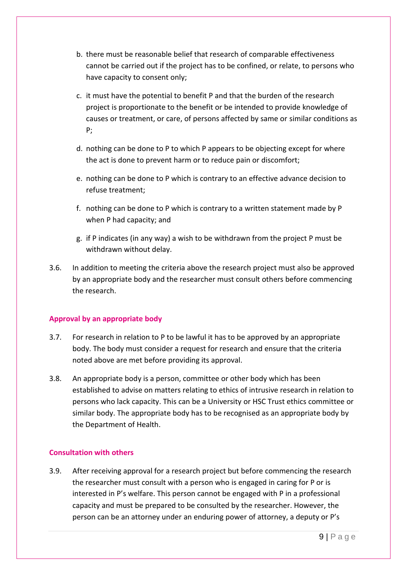- b. there must be reasonable belief that research of comparable effectiveness cannot be carried out if the project has to be confined, or relate, to persons who have capacity to consent only;
- c. it must have the potential to benefit P and that the burden of the research project is proportionate to the benefit or be intended to provide knowledge of causes or treatment, or care, of persons affected by same or similar conditions as P;
- d. nothing can be done to P to which P appears to be objecting except for where the act is done to prevent harm or to reduce pain or discomfort;
- e. nothing can be done to P which is contrary to an effective advance decision to refuse treatment;
- f. nothing can be done to P which is contrary to a written statement made by P when P had capacity; and
- g. if P indicates (in any way) a wish to be withdrawn from the project P must be withdrawn without delay.
- 3.6. In addition to meeting the criteria above the research project must also be approved by an appropriate body and the researcher must consult others before commencing the research.

#### **Approval by an appropriate body**

- 3.7. For research in relation to P to be lawful it has to be approved by an appropriate body. The body must consider a request for research and ensure that the criteria noted above are met before providing its approval.
- 3.8. An appropriate body is a person, committee or other body which has been established to advise on matters relating to ethics of intrusive research in relation to persons who lack capacity. This can be a University or HSC Trust ethics committee or similar body. The appropriate body has to be recognised as an appropriate body by the Department of Health.

#### **Consultation with others**

3.9. After receiving approval for a research project but before commencing the research the researcher must consult with a person who is engaged in caring for P or is interested in P's welfare. This person cannot be engaged with P in a professional capacity and must be prepared to be consulted by the researcher. However, the person can be an attorney under an enduring power of attorney, a deputy or P's